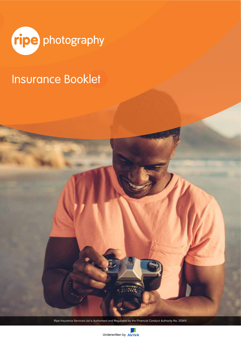

# Insurance Booklet

1 Ripe Insurance Services Ltd is Authorised and Regulated by the Financial Conduct Authority No. 313411.

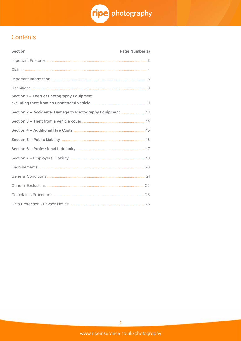

# Contents

| <b>Section</b>                                             | <b>Page Number(s)</b> |
|------------------------------------------------------------|-----------------------|
|                                                            |                       |
|                                                            |                       |
|                                                            |                       |
|                                                            |                       |
| Section 1 - Theft of Photography Equipment                 |                       |
| Section 2 - Accidental Damage to Photography Equipment  13 |                       |
|                                                            |                       |
|                                                            |                       |
|                                                            |                       |
|                                                            |                       |
|                                                            |                       |
|                                                            |                       |
|                                                            |                       |
|                                                            |                       |
|                                                            |                       |
|                                                            |                       |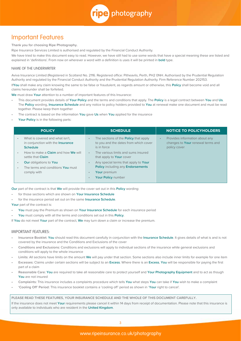

# Important Features

**Thank you for choosing Ripe Photography.**

Ripe Insurance Services Limited is authorised and regulated by the Financial Conduct Authority.

We have tried to make this document easy to read. However, we have still had to use some words that have a special meaning these are listed and explained in 'definitions'. From now on wherever a word with a definition is uses it will be printed in **bold** type.

#### NAME OF THE UNDERWRITER

Aviva Insurance Limited (Registered in Scotland No. 2116. Registered office: Pitheavlis, Perth, PH2 0NH. Authorised by the Prudential Regulation Authority and regulated by the Financial Conduct Authority and the Prudential Regulation Authority. Firm Reference Number 202153.

If**You** shall make any claim knowing the same to be false or fraudulent, as regards amount or otherwise, this **Policy** shall become void and all claims hereunder shall be forfeited.

**We** must draw **Your** attention to a number of important features of this Insurance:

- This document provides details of **Your Policy** and the terms and conditions that apply. The **Policy** is a legal contract between **You** and **Us**. The **Policy** wording, **Insurance Schedule** and any notice to policy holders provided to **You** at renewal make one document and must be read together. Please keep them together
- The contract is based on the information **You** gave **Us** when **You** applied for the insurance
- **Your Policy** is in the following parts:

| <b>POLICY</b>                                                                                  | <b>SCHEDULE</b>                                                                                                   | <b>NOTICE TO POLICYHOLDERS</b>                                                                   |
|------------------------------------------------------------------------------------------------|-------------------------------------------------------------------------------------------------------------------|--------------------------------------------------------------------------------------------------|
| What is covered and what isn't.<br>in conjunction with the <b>Insurance</b><br><b>Schedule</b> | The sections of the <b>Policy</b> that apply<br>$\bullet$<br>to you and the dates from which cover<br>is in force | Provides information about any<br>$\bullet$<br>changes to Your renewal terms and<br>policy cover |
| How to make a <b>Claim</b> and how <b>We</b> will<br>settle that Claim                         | The various limits and sums insured<br>$\bullet$<br>that apply to <b>Your</b> cover                               |                                                                                                  |
| <b>Our</b> obligations to You                                                                  | Any special terms that apply to Your<br>$\bullet$                                                                 |                                                                                                  |
| The terms and conditions You must<br>comply with                                               | <b>Policy including any Endorsements</b><br>Your premium<br>$\bullet$<br>Your Policy number                       |                                                                                                  |

**Our** part of the contract is that **We** will provide the cover set out in this **Policy** wording:

- for those sections which are shown on **Your Insurance Schedule**
- for the insurance period set out on the same **Insurance Schedule**.

Your part of the contract is:

- **You** must pay the Premium as shown on **Your Insurance Schedule** for each insurance period
- **You** must comply with all the terms and conditions set out in this **Policy**.

If **You** do not meet **Your** part of the contract, **We** may turn down a claim or increase the premium.

#### IMPORTANT FEATURES:

- **Insurance Booklet: You** should read this document carefully in conjunction with the **Insurance Schedule**. It gives details of what is and is not covered by the insurance and the Conditions and Exclusions of the cover
- **Conditions and Exclusions:** Conditions and exclusions will apply to individual sections of the insurance while general exclusions and conditions will apply to the whole insurance
- **Limits:** All sections have limits on the amount **We** will pay under that section. Some sections also include inner limits for example for one item
- **Excesses:** Claims under certain sections will be subject to an **Excess**. Where there is an **Excess**, **You** will be responsible for paying the first part of a claim
- **Reasonable Care: You** are required to take all reasonable care to protect yourself and **Your Photography Equipment** and to act as though **You** are not insured
- **Complaints:** This insurance includes a complaints procedure which tells **You** what steps **You** can take if **You** wish to make a complaint
- **'Cooling Off' Period:** This insurance booklet contains a 'cooling off' period as shown in '**Your** right to cancel'.

**PLEASE READ THESE FEATURES, YOUR INSURANCE SCHEDULE AND THE WHOLE OF THIS DOCUMENT CAREFULLY.**

If the insurance does not meet **Your** requirements please cancel it within 14 days from receipt of documentation. Please note that this insurance is only available to individuals who are resident in the **United Kingdom**.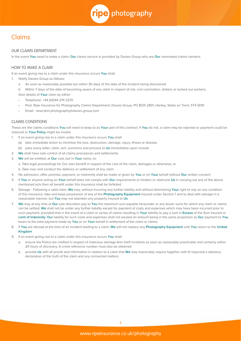

# Claims

# OUR CLAIMS DEPARTMENT

In the event **You** need to make a claim, **Our** claims service is provided by Davies Group who are **Our** nominated claims handers.

# HOW TO MAKE A CLAIM

If an event giving rise to a claim under this insurance occurs **You** shall:

- 1. Notify Davies Group as follows:
	- a. As soon as reasonably possible but within 30 days of the date of the incident being discovered
	- b. Within 7 days of the date of becoming aware of any claim in respect of riot, civil commotion, strikers or locked out workers.

Give details of **Your** claim by either:

- Telephone: +44 (0)344 274 3270
- Post: Ripe Insurance for Photography Claims Department, Davies Group, PO BOX 2801, Hanley, Stoke on Trent, ST4 5DN
- Email: newclaim.photography@davies-group.com

# CLAIMS CONDITIONS

These are the claims conditions **You** will need to keep to as **Your** part of this contract. If **You** do not, a claim may be rejected or payment could be reduced or **Your Policy** might be invalid.

- 1. If an event giving rise to a claim under this insurance occurs **You** shall:
	- (a) take immediate action to minimize the loss, destruction, damage, injury, illness or disease
	- (b) pass every letter, claim, writ, summons and process to **Us** immediately upon receipt.
- 2. **We** shall have sole control of all claims procedures and settlements
- 3. **We** will be entitled, at **Our** cost, but in **Your** name, to:
	- a. Take legal proceedings for Our own benefit in respect of the cost of the claim, damages or otherwise; or
	- b. Take over and conduct the defence or settlement of any claim
- 4. No admission, offer, promise, payment, or indemnity shall be made or given by **You** or on **Your** behalf without **Our** written consent
- 5. If **You** or anyone acting on **Your** behalf does not comply with **Our** requirements or hinders or obstructs **Us** in carrying out any of the above mentioned acts then all benefit under this insurance shall be forfeited
- 6. Salvage Following a valid claim, **We** may, without incurring any further liability and without diminishing **Your** right to rely on any condition of this insurance, take and keep possession of any of the **Photography Equipment** insured under Section 1 and to deal with salvage in a reasonable manner, but **You** may not abandon any property insured to **Us**
- 7. **We** may at any time at **Our** sole discretion pay to **You** the maximum sum payable hereunder or any lesser sums for which any claim or claims can be settled. **We** shall not be under any further liability except for payment of costs and expenses which may have been incurred prior to such payment, provided that in the event of a claim or series of claims resulting in **Your** liability to pay a sum in **Excess** of the Sum Insured or **Limit of Indemnity**. **Our** liability for such costs and expenses shall not exceed an amount being in the same proportion as **Our** payment to **You** bears to the total payment made by **You** or on **Your** behalf in settlement of the claim or claims.
- 8. If **You** are abroad at the time of an incident leading to a claim, **We** will not replace any **Photography Equipment** until **You** return to the **United Kingdom**
- 9. If an event giving rise to a claim under this insurance occurs **You** shall:
	- a. ensure the Police are notified in respect of malicious damage &/or theft incidents as soon as reasonably practicable and certainly within 24 hours of discovery. A crime reference number must also be obtained
	- b. provide **Us** with all proofs and information in relation to a claim that **We** may reasonably require together with (if required) a statutory declaration of the truth of the claim and any connected matters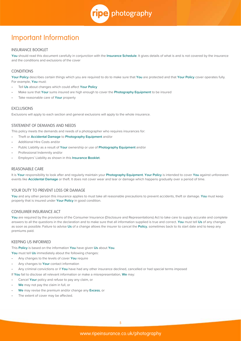ripe photography

# Important Information

## INSURANCE BOOKLET

**You** should read this document carefully in conjunction with the **Insurance Schedule**. It gives details of what is and is not covered by the insurance and the conditions and exclusions of the cover

# **CONDITIONS**

**Your Policy** describes certain things which you are required to do to make sure that **You** are protected and that **Your Policy** cover operates fully. For example, **You** must:

- Tell **Us** about changes which could affect **Your Policy**
- Make sure that **Your** sums insured are high enough to cover the **Photography Equipment** to be insured
- Take reasonable care of **Your** property

# **EXCLUSIONS**

Exclusions will apply to each section and general exclusions will apply to the whole insurance.

# STATEMENT OF DEMANDS AND NEEDS

This policy meets the demands and needs of a photographer who requires insurances for:

- Theft or **Accidental Damage** to **Photography Equipment** and/or
- Additional Hire Costs and/or
- Public Liability as a result of **Your** ownership or use of **Photography Equipment** and/or
- Professional Indemnity and/or
- Employers' Liability as shown in this **Insurance Booklet**.

#### REASONABLE CARE

It is **Your** responsibility to look after and regularly maintain your **Photography Equipment**. **Your Policy** is intended to cover **You** against unforeseen events like **Accidental Damage** or theft. It does not cover wear and tear or damage which happens gradually over a period of time.

# YOUR DUTY TO PREVENT LOSS OR DAMAGE

**You** and any other person this insurance applies to must take all reasonable precautions to prevent accidents, theft or damage. **You** must keep property that is insured under **Your Policy** in good condition.

#### CONSUMER INSURANCE ACT

You are required by the provisions of the Consumer Insurance (Disclosure and Representations) Act to take care to supply accurate and complete answers to all the questions in the declaration and to make sure that all information supplied is true and correct. **You** must tell **Us** of any changes as soon as possible. Failure to advise **Us** of a change allows the insurer to cancel the **Policy**, sometimes back to its start date and to keep any premiums paid.

# KEEPING US INFORMED

This **Policy** is based on the information **You** have given **Us** about **You**.

**You** must tell **Us** immediately about the following changes:

- Any changes to the levels of cover **You** require
- Any changes to **Your** contact information
- Any criminal convictions or if **You** have had any other insurance declined, cancelled or had special terms imposed

If **You** fail to disclose all relevant information or make a misrepresentation, **We** may:

- Cancel **Your** policy and refuse to pay any claim, or
- **We** may not pay the claim in full, or
- **We** may revise the premium and/or change any **Excess**, or
- The extent of cover may be affected.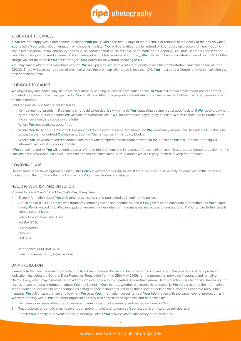

### YOUR RIGHT TO CANCEL

If **You** are not happy with it and choose to cancel **Your** policy within the first 14 days of the purchase or renewal of the policy or the day on which **You** receive **Your** policy documentation, whichever is the later, **You** will be entitled to a full refund of **Your** policy insurance premium including any insurance premium tax and policy fees paid, on condition that no claims have been made or are pending. **You** must send a signed letter of cancellation via post or send an email. If **You** have spoken to **Us** to arrange **Your** policy, **We** may deduct an administration fee of up to £10 but this charge will not be made if **You** have arranged **Your** policy online without speaking to **Us**.

**You** may cancel after the 14 days have expired. **We** may provide **You** with a refund of premium less the administration cancellation fee of up to £30.00. There will also be no return of premium where the premium refund due is less than £10. **You** must send a signed letter of cancellation via post or send an email.

### OUR RIGHT TO CANCEL

**We** may at any time cancel any insurance document by sending at least 14 days notice to **You** at **Your** last known email and/or postal address. Provided the premium has been paid in full **You** shall be entitled to a proportionate rebate of premium in respect of the unexpired period showing on the insurance.

Valid reasons include but are not limited to:

- Non-payment of premium. If payment is not paid when due **We** will write to **You** requesting payment by a specific date. If **We** receive payment by the date set out in the letter **We** will take no further action. If **We** do not receive payment by this date **We** will cancel the insurance from the cancellation date shown on the letter.
- Where **We** reasonably suspect fraud
- Where **You** fail to co-operate with **Us** or provide **Us** with information or documentation **We** reasonably require, and this affects **Our** ability to process a claim or defend **Our** interests. See the 'Claims' section in this policy booklet
- Where **You** have not taken reasonable care to provide complete and accurate answers to the questions **We** ask. See the 'Keeping Us Informed' section of this policy booklet.

If **We** cancel the policy **You** will be entitled to a refund of the premium paid in respect of the cancelled cover, less a proportionate deduction for the time **We** have provided such cover, unless the reason for cancellation is fraud and/or **We** are legally entitled to keep the premium.

#### GOVERNING LAW

Unless some other law is agreed in writing, this **Policy** is governed by English law. If there is a dispute, it will only be dealt with in the courts of England or of the country within the UK in which **Your** main residence is situated.

#### FRAUD PREVENTION AND DETECTION

In order to prevent and detect fraud **We** may at any time:

- 1. Share information about **You** with other organisations and public bodies including the police;
- 2. Check and/or file **Your** details with fraud prevention agencies and databases, and if **You** give false or inaccurate information and **We** suspect fraud, **We** will record this. **We** can supply on request further details of the databases **We** access or contribute to. If **You** require further details please contact **Us** at:

Policy Investigation Unit, Aviva, PO Box 3596

Surrey Street

Norwich

NR1 3EB

Telephone: 0800 068 3254 Email: consumerfraud\_IB@aviva.com

# DATA PROTECTION

Please note that any information provided to **Us** will be processed by **Us** and **Our** agents in compliance with the provisions of data protection legislation (including the General Data Protection Regulation from the 25th May 2018), for the purpose of providing insurance and handling claims, if any, which may necessitate providing such information to third parties. Under the General Data Protection Regulation **You** have a right of access to see personal information about **You** that is held in **Our** records, whether electronically or manually. **We** may also send the information in confidence for process to other companies acting on their instructions including those located outside the European Economic Area. If this happens, **We** will ensure that anyone to whom **We** pass **Your** information agrees to treat **Your** information with the same level of protection as if **We** were dealing with it. **We** and other organisations may also search these agencies and databases to:

- 1. Help make decisions about the provision and administration of insurance and related services for **You**
- 2. Trace debtors or beneficiaries, recover debt, prevent fraud and to manage **Your** accounts or insurance policies; and
- 3. Check **Your** identity to prevent money laundering, unless **You** provide other satisfactory proof of identity.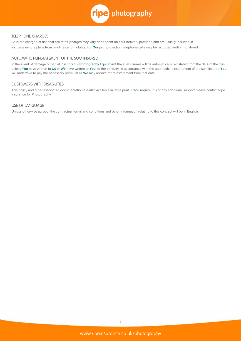

# TELEPHONE CHARGES

Calls are charged at national call rates (charges may vary dependent on Your network provider) and are usually included in inclusive minute plans from landlines and mobiles. For **Our** joint protection telephone calls may be recorded and/or monitored

# AUTOMATIC REINSTATEMENT OF THE SUM INSURED

In the event of damage or partial loss to **Your Photography Equipment** the sum insured will be automatically reinstated from the date of the loss unless **You** have written to **Us** or **We** have written to **You**, to the contrary. In accordance with the automatic reinstatement of the sum insured **You** will undertake to pay the necessary premium as **We** may require for reinstatement from that date.

# CUSTOMERS WITH DISABILITIES

This policy and other associated documentation are also available in large print. If **You** require this or any additional support please contact Ripe Insurance for Photography.

# USE OF LANGUAGE

Unless otherwise agreed, the contractual terms and conditions and other information relating to this contract will be in English.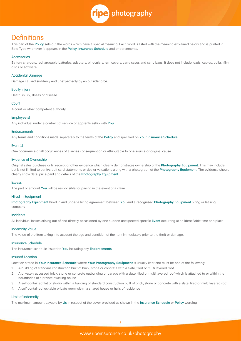

# **Definitions**

This part of the **Policy** sets out the words which have a special meaning. Each word is listed with the meaning explained below and is printed in Bold Type whenever it appears in the **Policy**, **Insurance Schedule** and endorsements.

#### Accessories

Battery chargers, rechargeable batteries, adapters, binoculars, rain covers, carry cases and carry bags. It does not include leads, cables, bulbs, film, discs or software

#### Accidental Damage

Damage caused suddenly and unexpectedly by an outside force.

#### Bodily Injury

Death, injury, illness or disease

#### Court

A court or other competent authority

#### Employee(s)

Any individual under a contract of service or apprenticeship with **You**

#### **Endorsements**

Any terms and conditions made separately to the terms of the **Policy** and specified on **Your Insurance Schedule**

#### Event(s)

One occurrence or all occurrences of a series consequent on or attributable to one source or original cause

#### Evidence of Ownership

Original sales purchase or till receipt or other evidence which clearly demonstrates ownership of the **Photography Equipment**. This may include but is not limited to bank/credit card statements or dealer valuations along with a photograph of the **Photography Equipment**. The evidence should clearly show date, price paid and details of the **Photography Equipment**

#### **Excess**

The part or amount **You** will be responsible for paying in the event of a claim

#### Hired in Equipment

**Photography Equipment** hired in and under a hiring agreement between **You** and a recognised **Photography Equipment** hiring or leasing company

#### **Incidents**

All individual losses arising out of and directly occasioned by one sudden unexpected specific **Event** occurring at an identifiable time and place

#### Indemnity Value

The value of the item taking into account the age and condition of the item immediately prior to the theft or damage.

#### Insurance Schedule

The insurance schedule issued to **You** including any **Endorsements**

#### Insured Location

Location stated in **Your Insurance Schedule** where **Your Photography Equipment** is usually kept and must be one of the following:

- 1. A building of standard construction built of brick, stone or concrete with a slate, tiled or multi layered roof
- 2. A privately accessed brick, stone or concrete outbuilding or garage with a slate, tiled or multi layered roof which is attached to or within the boundaries of a private dwelling house
- 3. A self-contained flat or studio within a building of standard construction built of brick, stone or concrete with a slate, tiled or multi layered roof
- 4. A self-contained lockable private room within a shared house or halls of residence

#### Limit of Indemnity

The maximum amount payable by **Us** in respect of the cover provided as shown in the **Insurance Schedule** or **Policy** wording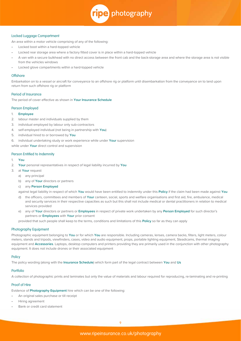

#### Locked Luggage Compartment

An area within a motor vehicle comprising of any of the following:

- Locked boot within a hard-topped vehicle
- Locked rear storage area where a factory fitted cover is in place within a hard-topped vehicle
- A van with a secure bulkhead with no direct access between the front cab and the back-storage area and where the storage area is not visible from the vehicles windows
- Locked glove compartments within a hard-topped vehicle

#### **Offshore**

Embarkation on to a vessel or aircraft for conveyance to an offshore rig or platform until disembarkation from the conveyance on to land upon return from such offshore rig or platform

#### Period of Insurance

The period of cover effective as shown in **Your Insurance Schedule**

#### Person Employed

- 1. **Employee**
- 2. labour master and individuals supplied by them
- 3. individual employed by labour only sub-contractors
- 4. self-employed individual (not being in partnership with **You**)
- 5. individual hired to or borrowed by **You**
- 6. individual undertaking study or work experience while under **Your** supervision

while under **Your** direct control and supervision

#### Person Entitled to Indemnity

#### 1. **You**

- 2. **Your** personal representatives in respect of legal liability incurred by **You**
- 3. at **Your** request
	- a) any principal
	- b) any of **Your** directors or partners
	- c) any **Person Employed**

against legal liability in respect of which **You** would have been entitled to indemnity under this **Policy** if the claim had been made against **You**

- d) the officers, committees and members of **Your** canteen, social, sports and welfare organisations and first aid, fire, ambulance, medical and security services in their respective capacities as such but this shall not include medical or dental practitioners in relation to medical services provided
- e) any of **Your** directors or partners or **Employees** in respect of private work undertaken by any **Person Employed** for such director's partners or **Employees** with **Your** prior consent

provided that such people shall keep to the terms, conditions and limitations of this **Policy** so far as they can apply

#### Photography Equipment

Photographic equipment belonging to **You** or for which **You** are responsible. Including cameras, lenses, camera backs, filters, light meters, colour meters, stands and tripods, viewfinders, cases, video and audio equipment, props, portable lighting equipment, Steadicams, thermal imaging equipment and **Accessories**. Laptops, desktop computers and printers providing they are primarily used in the conjunction with other photography equipment. It does not include drones or their associated equipment

#### Policy

The policy wording (along with the **Insurance Schedule**) which form part of the legal contract between **You** and **Us**

# Portfolio

A collection of photographic prints and laminates but only the value of materials and labour required for reproducing, re-laminating and re-printing

# Proof of Hire

Evidence of **Photography Equipment** hire which can be one of the following:

- An original sales purchase or till receipt
- Hiring agreement
- Bank or credit card statement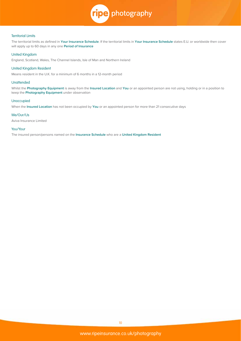

#### Territorial Limits

The territorial limits as defined in **Your Insurance Schedule**. If the territorial limits in **Your Insurance Schedule** states E.U. or worldwide then cover will apply up to 60 days in any one **Period of Insurance**

#### United Kingdom

England, Scotland, Wales, The Channel Islands, Isle of Man and Northern Ireland

### United Kingdom Resident

Means resident in the U.K. for a minimum of 6 months in a 12-month period

#### **Unattended**

Whilst the **Photography Equipment** is away from the **Insured Location** and **You** or an appointed person are not using, holding or in a position to keep the **Photography Equipment** under observation

#### Unoccupied

When the **Insured Location** has not been occupied by **You** or an appointed person for more than 21 consecutive days

#### We/Our/Us

Aviva Insurance Limited

# You/Your

The insured person/persons named on the **Insurance Schedule** who are a **United Kingdom Resident**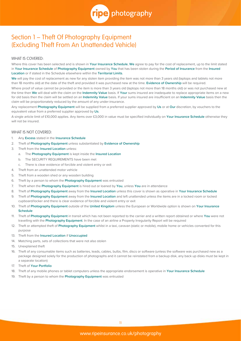

# Section 1 – Theft Of Photography Equipment (Excluding Theft From An Unattended Vehicle)

## WHAT IS COVERED:

Where this cover has been selected and is shown in **Your Insurance Schedule**, **We** agree to pay for the cost of replacement, up to the limit stated in **Your Insurance Schedule** of **Photography Equipment** owned by **You** that has been stolen during the **Period of Insurance** from the **Insured Location** or if stated in the Schedule elsewhere within the **Territorial Limits**.

We will pay the cost of replacement as new for any stolen item providing the item was not more than 3 years old (laptops and tablets not more than 18 months old) at the date of the theft and provided it was purchased new at the time. **Evidence of Ownership** will be required.

Where proof of value cannot be provided or the item is more than 3 years old (laptops not more than 18 months old) or was not purchased new at the time then **We** will deal with the claim on the **Indemnity Value** basis. If **Your** sums insured are inadequate to replace appropriate items on a new for old basis then the claim will be settled on an **Indemnity Value** basis. If your sums insured are insufficient on an **Indemnity Value** basis then the claim will be proportionately reduced by the amount of any under-insurance.

Any replacement **Photography Equipment** will be supplied from a preferred supplier approved by **Us** or at **Our** discretion, by vouchers to the equivalent value from a preferred supplier approved by **Us**.

A single article limit of £10,000 applies. Any items over £3,000 in value must be specified individually on **Your Insurance Schedule** otherwise they will not be insured.

- 1. Any **Excess** stated in the **Insurance Schedule**
- 2. Theft of **Photography Equipment** unless substantiated by **Evidence of Ownership**
- 3. Theft from the **Insured Location** unless:
	- a. The **Photography Equipment** is kept inside the **Insured Location**
	- b. The SECURITY REQUIREMENTS have been met
	- c. There is clear evidence of forcible and violent entry or exit
- 4. Theft from an unattended motor vehicle
- 5. Theft from a wooden shed or any wooden building
- 6. Theft by a person to whom the **Photography Equipment** was entrusted
- 7. Theft when the **Photography Equipment** is hired out or loaned by **You**, unless **You** are in attendance
- 8. Theft of **Photography Equipment** away from the **Insured Location** unless this cover is shown as operative in **Your Insurance Schedule**
- 9. Theft of **Photography Equipment** away from the **Insured Location** and left unattended unless the items are in a locked room or locked cupboard/locker and there is clear evidence of forcible and violent entry or exit
- 10. Theft of **Photography Equipment** outside of the **United Kingdom** unless the European or Worldwide option is shown on **Your Insurance Schedule**
- 11. Theft of **Photography Equipment** in transit which has not been reported to the carrier and a written report obtained or where **You** were not travelling with the **Photography Equipment**. In the case of an airline a Property Irregularity Report will be required
- 12. Theft or attempted theft of **Photography Equipment** whilst in a taxi, caravan (static or mobile), mobile home or vehicles converted for this purpose
- 13. Theft from the **Insured Location** if **Unoccupied**
- 14. Matching parts, sets of collections that were not also stolen
- 15. Unexplained theft
- 16. Theft of any consumable items such as batteries, leads, cables, bulbs, film, discs or software (unless the software was purchased new as a package designed solely for the production of photographs and it cannot be reinstated from a backup disk, any back up disks must be kept in a separate location)
- 17. Theft of **Your Portfolio**
- 18. Theft of any mobile phones or tablet computers unless the appropriate endorsement is operative in **Your Insurance Schedule**
- 19. Theft by a person to whom the **Photography Equipment** was entrusted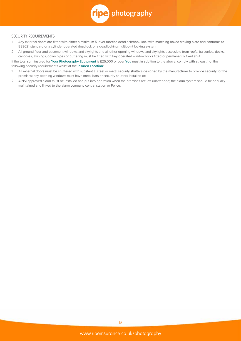

#### SECURITY REQUIREMENTS

- 1. Any external doors are fitted with either a minimum 5 lever mortice deadlock/hook lock with matching boxed striking plate and conforms to BS3621 standard or a cylinder operated deadlock or a deadlocking multipoint locking system
- 2. All ground floor and basement windows and skylights and all other opening windows and skylights accessible from roofs, balconies, decks, canopies, awnings, down pipes or guttering must be fitted with key operated window locks fitted or permanently fixed shut

If the total sum insured for **Your Photography Equipment** is £25,000 or over **You** must in addition to the above, comply with at least 1 of the following security requirements whilst at the **Insured Location**:

- 1. All external doors must be shuttered with substantial steel or metal security shutters designed by the manufacturer to provide security for the premises; any opening windows must have metal bars or security shutters installed or;
- 2. A NSI approved alarm must be installed and put into operation when the premises are left unattended; the alarm system should be annually maintained and linked to the alarm company central station or Police.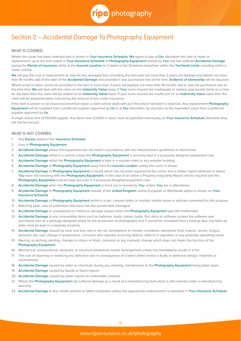

# Section 2 – Accidental Damage To Photography Equipment

# WHAT IS COVERED:

Where this cover has been selected and is shown in **Your Insurance Schedule**, **We** agree to pay at **Our** discretion the cost of repair or replacement, up to the limit stated in **Your Insurance Schedule** of **Photography Equipment** owned by **You** that has suffered **Accidental Damage** during the **Period of Insurance** whilst at the **Insured Location** or if stated in the Schedule elsewhere within the **Territorial Limits** including within a motor vehicle.

We will pay the cost of replacement as new for any damaged item providing the item was not more than 3 years old (laptops and tablets not more than 18 months old) at the date of the **Accidental Damage** and provided it was purchased new at the time. **Evidence of Ownership** will be required.

Where proof of value cannot be provided or the item is more than 3 years old (laptops not more than 18 months old) or was not purchased new at the time then **We** will deal with the claim on the **Indemnity Value** basis. If **Your** sums insured are inadequate to replace appropriate items on a new for old basis then the claim will be settled on an **Indemnity Value** basis. If your sums insured are insufficient on an **Indemnity Value** basis then the claim will be proportionately reduced by the amount of any under-insurance.

If the item is proven to be beyond economical repair, a claim will be dealt with as if the article had been a total loss. Any replacement **Photography Equipment** will be supplied from a preferred supplier approved by **Us** or at **Our** discretion, by vouchers to the equivalent value from a preferred supplier approved by **Us**.

A single article limit of £10,000 applies. Any items over £3,000 in value must be specified individually on **Your Insurance Schedule** otherwise they will not be insured.

- 1. Any **Excess** stated in the **Insurance Schedule**
- 2. Loss of **Photography Equipment**
- 3. **Accidental Damage** where the equipment was not used in accordance with the manufacturers guidelines or instructions
- 4. **Accidental Damage** whilst in a vehicle unless the **Photography Equipment** is securely kept in a purposely designed equipment case
- 5. **Accidental Damage** whilst the **Photography Equipment** is kept in a wooden shed or any wooden building
- 6. **Accidental Damage** of **Photography Equipment** away from the **Insured Location** unless this cover is shown
- 7. **Accidental Damage** to **Photography Equipment** in transit which has not been reported to the carrier and a written report obtained or where **You** were not travelling with the **Photography Equipment**. In the case of an airline a Property Irregularity Report will be required and the **Photography Equipment** must be kept securely in a purposely designed equipment case
- 8. **Accidental Damage** when the **Photography Equipment** is hired out or loaned by **You**, unless **You** are in attendance
- 9. **Accidental Damage** to **Photography Equipment** outside of the **United Kingdom** unless European or Worldwide option is shown on **Your Insurance Schedule**
- 10. **Accidental Damage** to **Photography Equipment** whilst in a taxi, caravan (static or mobile), mobile home or vehicles converted for this purpose
- 11. Matching parts, sets of collections that were not also accidentally damaged
- 12. **Accidental Damage** or unexplained or malicious damage caused when the **Photography Equipment** was left Unattended
- 13. **Accidental Damage** to any consumable items such as batteries, leads, cables, bulbs, film, discs or software (unless the software was purchased new as a package designed solely for the production of photographs and it cannot be reinstated from a backup disk, any back up disks must be kept in a separate location)
- 14. **Accidental Damage** caused by wear and tear, wet or dry rot, atmospheric or climatic conditions, dampness frost, insects, vermin, fungus, domestic pet, rust, change in temperature, corrosion and naturally occurring defects, defects in operation or any gradually operating cause
- 15. Marring, scratching, denting, changes in colour or finish, corrosion or any cosmetic change which does not impair the function of the **Photography Equipment**
- 16. Mechanical, constructional, electronic or electrical breakdown and/or derangement unless this immediately results in a fire
- 17. The cost of repairing or replacing any defective part in consequence of a latent defect and/or a faulty or defective design, materials or workmanship
- 18. **Accidental Damage** caused by water or chemicals during any cleaning, maintenance or the **Photography Equipment** being taken apart
- 19. **Accidental Damage** caused by liquids or liquid ingress
- 20. **Accidental Damage** caused by water ingress to underwater cameras
- 21. Where the **Photography Equipment** has suffered damage as a result of a manufacturing fault which is still covered under a manufacturing warranty
- 22. **Accidental Damage** to any mobile phones or tablet computers unless the appropriate endorsement is operative in **Your Insurance Schedule**.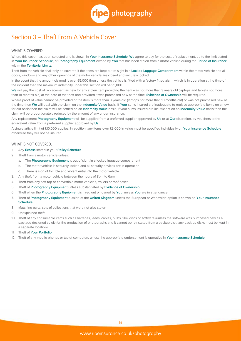

# Section 3 – Theft From A Vehicle Cover

# WHAT IS COVERED:

Where this cover has been selected and is shown in **Your Insurance Schedule**, **We** agree to pay for the cost of replacement, up to the limit stated in **Your Insurance Schedule**, of **Photography Equipment** owned by **You** that has been stolen from a motor vehicle during the **Period of Insurance** within the **Territorial Limits**.

Theft from the vehicle shall only be covered if the items are kept out of sight in a **Locked Luggage Compartment** within the motor vehicle and all doors, windows and any other openings of the motor vehicle are closed and securely locked.

In the event that the amount claimed is over £5,000 then unless the vehicle is fitted with a factory fitted alarm which is in operation at the time of the incident then the maximum indemnity under this section will be £5,000.

We will pay the cost of replacement as new for any stolen item providing the item was not more than 3 years old (laptops and tablets not more than 18 months old) at the date of the theft and provided it was purchased new at the time. **Evidence of Ownership** will be required.

Where proof of value cannot be provided or the item is more than 3 years old (laptops not more than 18 months old) or was not purchased new at the time then **We** will deal with the claim on the **Indemnity Value** basis. If **Your** sums insured are inadequate to replace appropriate items on a new for old basis then the claim will be settled on an **Indemnity Value** basis. If your sums insured are insufficient on an **Indemnity Value** basis then the claim will be proportionately reduced by the amount of any under-insurance.

Any replacement **Photography Equipment** will be supplied from a preferred supplier approved by **Us** or at **Our** discretion, by vouchers to the equivalent value from a preferred supplier approved by **Us**.

A single article limit of £10,000 applies. In addition, any items over £3,000 in value must be specified individually on **Your Insurance Schedule** otherwise they will not be insured.

- 1. Any **Excess** stated in your **Policy Schedule**
- 2. Theft from a motor vehicle unless:
	- a. The **Photography Equipment** is out of sight in a locked luggage compartment
	- b. The motor vehicle is securely locked and all security devices are in operation
	- c. There is sign of forcible and violent entry into the motor vehicle
- 3. Any theft from a motor vehicle between the hours of 8pm to 6am
- 4. Theft from any soft top or convertible motor vehicles, trailers or roof boxes
- 5. Theft of **Photography Equipment** unless substantiated by **Evidence of Ownership**
- 6. Theft when the **Photography Equipment** is hired out or loaned by **You**, unless **You** are in attendance
- 7. Theft of **Photography Equipment** outside of the **United Kingdom** unless the European or Worldwide option is shown on **Your Insurance Schedule**
- 8. Matching parts, sets of collections that were not also stolen
- 9. Unexplained theft
- 10. Theft of any consumable items such as batteries, leads, cables, bulbs, film, discs or software (unless the software was purchased new as a package designed solely for the production of photographs and it cannot be reinstated from a backup disk, any back up disks must be kept in a separate location)
- 11. Theft of **Your Portfolio**
- 12. Theft of any mobile phones or tablet computers unless the appropriate endorsement is operative in **Your Insurance Schedule**.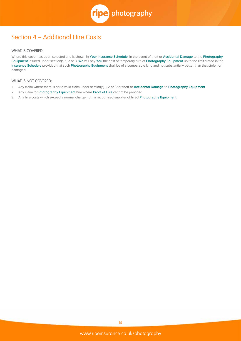

# Section 4 – Additional Hire Costs

# WHAT IS COVERED:

Where this cover has been selected and is shown in **Your Insurance Schedule**, in the event of theft or **Accidental Damage** to the **Photography Equipment** insured under section(s) 1, 2 or 3, **We** will pay **You** the cost of temporary hire of **Photography Equipment** up to the limit stated in the **Insurance Schedule** provided that such **Photography Equipment** shall be of a comparable kind and not substantially better than that stolen or damaged.

- 1. Any claim where there is not a valid claim under section(s) 1, 2 or 3 for theft or **Accidental Damage** to **Photography Equipment**
- 2. Any claim for **Photography Equipment** hire where **Proof of Hire** cannot be provided
- 3. Any hire costs which exceed a normal charge from a recognised supplier of hired **Photography Equipment**.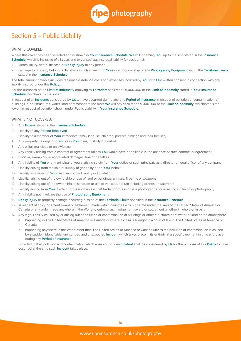ripe photography

# Section 5 – Public Liability

#### WHAT IS COVERED:

Where this cover has been selected and is shown in **Your Insurance Schedule**, **We** will indemnify **You** up to the limit stated in the **Insurance Schedule** (which is inclusive of all costs and expenses) against legal liability for accidental:

- 1. Mental injury, death, disease or **Bodily Injury** to any person
- 2. Damage to property belonging to others which arises from **Your** use or ownership of any **Photography Equipment** within the **Territorial Limits** stated in the **Insurance Schedule**.

The total amount payable includes reasonable defence costs and expenses incurred by **You** with **Our** written consent in connection with any liability insured under this **Policy**.

For the purposes of the **Limit of Indemnity** applying to **Terrorism** shall read £5,000,000 or the **Limit of Indemnity** stated in **Your Insurance Schedule** (whichever is the lower).

In respect of all **Incidents** considered by **Us** to have occurred during any one **Period of Insurance** in respect of pollution or contamination of buildings, other structures, water, land or atmosphere the most **We** will pay shall read £5,000,000 or the **Limit of Indemnity** (whichever is the lower) in respect of pollution shown under Public Liability in **Your Insurance Schedule**.

### WHAT IS NOT COVERED:

- 1. Any **Excess** stated in the **Insurance Schedule**
- 2. Liability to any **Person Employed**
- 3. Liability to a member of **Your** immediate family (spouse, children, parents, siblings and their families)
- 4. Any property belonging to **You** or in **Your** care, custody or control
- 5. Any wilful, malicious or unlawful act
- 6. Any liability arising from a contract or agreement unless **You** would have been liable in the absence of such contract or agreement
- 7 Punitive, exemplary or aggravated damages, fine or penalties
- 8. Any liability of **You** or any principal of yours arising solely from **Your** duties or such principals as a director or legal officer of any company
- 9. Liability arising from the sale or supply of goods by or on **Your** behalf
- 10. Liability as a result of **Your** insolvency, bankruptcy or liquidation
- 11. Liability arising out of the ownership or use of land or buildings, animals, firearms or weapons
- 12. Liability arising out of the ownership, possession or use of vehicles, aircraft including drones or watercraft
- 13. Liability arising from **Your** trade or profession unless that trade or profession is a photographer or assisting in filming or photography
- 14. Any liability not involving the use of **Photography Equipment**
- 15. **Bodily Injury** or property damage occurring outside of the **Territorial Limits** specified in the **Insurance Schedule**
- 16. In respect of any judgement award or settlement made within countries which operate under the laws of the United States of America or Canada or any order made anywhere in the World to enforce such judgement award or settlement whether in whole or in part
- 17. Any legal liability caused by or arising out of pollution or contamination of buildings or other structures or of water or land or the atmosphere
	- a. happening in The United States of America or Canada or where a claim is brought in a court of law in The United States of America or Canada
	- b. happening anywhere in the World other than The United States of America or Canada unless the pollution or contamination is caused by a sudden, identifiable, unintended and unexpected **Incident** which takes place in its entirety at a specific moment in time and place during any **Period of Insurance**

 Provided that all pollution and contamination which arises out of one **Incident** shall be considered by **Us** for the purpose of this **Policy** to have occurred at the time such **Incident** takes place.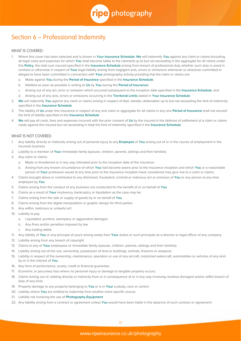

# Section 6 – Professional Indemnity

# WHAT IS COVERED:

- 1. Where this cover has been selected and is shown in **Your Insurance Schedule**, **We** will indemnify **You** against any claim or claims (including all legal costs and expenses for which **You** shall become liable to the claimant) up to but not exceeding in the aggregate for all claims under this **Policy**, the total sum insured specified in the **Insurance Schedule** arising from breach of professional duty whether such duty is owed in contract or otherwise in respect of **Your** legal liability arising from negligent acts, errors or omissions whenever or wherever committed or alleged to have been committed in connection with **Your** photography activity providing that the claim or claims are:
	- a. Made against **You** during the **Period of Insurance** specified in the **Insurance Schedule**;
	- b. Notified as soon as possible in writing to **Us** by **You** during the **Period of Insurance**;
	- c. Arising out of any act, error or omission which occurred subsequent to the inception date specified in the **Insurance Schedule**; and
	- d. Arising out of any acts, errors or omissions occurring in the **Territorial Limits** stated in **Your Insurance Schedule**
- 2. **We** will indemnify **You** against any claim or claims arising in respect of libel, slander, defamation up to but not exceeding the limit of indemnity specified in the **Insurance Schedule**
- 3. The liability of **Us** under this insurance in respect of any one claim or aggregate for all claims in any one **Period of Insurance** shall not exceed the limit of liability specified in the **Insurance Schedule**
- 4. **We** will pay all costs, fees and expenses incurred with the prior consent of **Us** by the insured in the defense of settlement of a claim or claims made against the insured but not exceeding in total the limit of indemnity specified in the **Insurance Schedule**.

- 1. Any liability directly or indirectly arising out of personal injury to any **Employee** of **You** arising out of or in the course of employment in the insureds business
- 2. Liability to a member of **Your** immediate family (spouse, children, parents, siblings and their families)
- 3. Any claim or claims:
	- a. Made or threatened or in any way intimated prior to the inception date of the insurance
	- b. Arising from any known circumstance of which **You** had become aware prior to the insurance inception and which **You** or a reasonable person of **Your** profession would at any time prior to the insurance inception have considered may give rise to a claim or claims
- 4. Claims brought about or contributed to any dishonest, fraudulent, criminal or malicious act or omission of **You** or any person at any time employed by **You**
- 5. Claims arising from the conduct of any business not conducted for the benefit of or on behalf of **You**
- 6. Claims as a result of **Your** insolvency, bankruptcy or liquidation as the case may be
- 7. Claims arising from the sale or supply of goods by or on behalf of **You**
- 8. Claims arising from the digital manipulation or graphic design for third parties
- 9. Any willful, malicious or unlawful act
- 10. Liability to pay
	- a. Liquidated, punitive, exemplary or aggravated damages
	- b. Any fines and/or penalties imposed by law
	- c. Any trading debts
- 11. Any liability of **You** or any principal of yours arising solely from **Your** duties or such principals as a director or legal officer of any company
- 12. Liability arising from any breach of copyright
- 13. Claims to any of **Your** employees or immediate family (spouse, children, parents, siblings and their families)
- 14. Liability arising out of the use, ownership, possession of land or buildings, animals, firearms or weapons
- 15. Liability in respect of the ownership, maintenance, operation or use of any aircraft, motorized watercraft, automobiles or vehicles of any kind by or in the interest of **You**
- 16. Any form of performance, surety, credit or financial guarantee
- 17. Economic or pecuniary loss where no personal injury or damage to tangible property occurs;
- 18. Claims arising out of, relating directly or indirectly from or in consequence of or in any way involving reckless disregard and/or willful breach of duty of any kind;
- 19. Property damage to any property belonging to **You** or is in **Your** custody, care or control
- 20. Liability where **You** are entitled to indemnity from another more specific source
- 21. Liability not involving the use of **Photography Equipment**
- 22. Any liability arising from a contract or agreement unless **You** would have been liable in the absence of such contract or agreement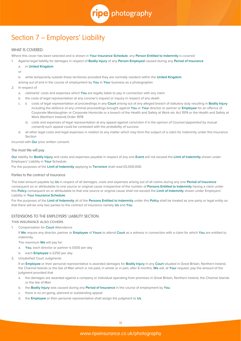

# Section 7 – Employers' Liability

# WHAT IS COVERED:

Where this cover has been selected and is shown in **Your Insurance Schedule**, any **Person Entitled to Indemnity** is covered

- 1. Against legal liability for damages in respect of **Bodily Injury** of any **Person Employed** caused during any **Period of Insurance**
	- a. in **United Kingdom**
	- or

b. while temporarily outside these territories provided they are normally resident within the **United Kingdom**

arising out of and in the course of employment by **You** in **Your** business as a photographer.

- 2. In respect of
	- a. claimants' costs and expenses which **You** are legally liable to pay in connection with any claim
	- b. the costs of legal representation at any coroner's inquest or inquiry in respect of any death
	- c. i) costs of legal representation at proceedings in any **Court** arising out of any alleged breach of statutory duty resulting in **Bodily Injury** including the defence of any criminal proceedings brought against **You** or **Your** director or partner or **Employee** for an offence of Corporate Manslaughter or Corporate Homicide or a breach of the Health and Safety at Work etc Act 1974 or the Health and Safety at Work (Northern Ireland) Order 1978
		- ii) costs and expenses of legal representation at any appeal against conviction if in the opinion of Counsel (appointed by mutual consent) such appeal could be contested with the probability of success
	- d. all other legal costs and legal expenses in relation to any matter which may form the subject of a claim for indemnity under this Insurance Section

incurred with **Our** prior written consent.

#### The most We will pay

**Our** liability for **Bodily Injury** and costs and expenses payable in respect of any one **Event** will not exceed the **Limit of Indemnity** shown under Employers' Liability in **Your** Schedule.

For the purposes of the **Limit of Indemnity** applying to **Terrorism** shall read £5,000,000.

#### Parties to the contract of insurance

The total amount payable by **Us** in respect of all damages, costs and expenses arising out of all claims during any one **Period of Insurance** consequent on or attributable to one source or original cause irrespective of the number of **Persons Entitled to Indemnity** having a claim under this **Policy** consequent on or attributable to that one source or original cause shall not exceed the **Limit of Indemnity** shown under Employers' Liability in **Your Insurance Schedule**.

For the purposes of the **Limit of Indemnity** all of the **Persons Entitled to Indemnity** under this **Policy** shall be treated as one party or legal entity so that there will be only two parties to the contract of insurance namely **Us** and **You**.

## EXTENSIONS TO THE EMPLOYERS' LIABILITY SECTION:

**THIS INSURANCE ALSO COVERS**

1. Compensation for **Court** Attendance

 If **We** require any director, partner or **Employee** of **Yours** to attend **Court** as a witness in connection with a claim for which **You** are entitled to indemnity.

The maximum **We** will pay for:

- a. **You**, each director or partner is £500 per day
- b. each **Employee** is £250 per day
- 2. Unsatisfied Court Judgments

 If an **Employee** or their personal representative is awarded damages for **Bodily Injury** in any **Court** situated in Great Britain, Northern Ireland, the Channel Islands or the Isle of Man which is not paid, in whole or in part, after 6 months, **We** will, at **Your** request, pay the amount of the judgment provided that

- a. the damages are awarded against a company or individual operating from premises in Great Britain, Northern Ireland, the Channel Islands or the Isle of Man
- b. the **Bodily Injury** was caused during any **Period of Insurance** in the course of employment by **You**
- c. there is no on-going, planned or outstanding appeal
- d. the **Employee** or their personal representative shall assign the judgment to **Us**.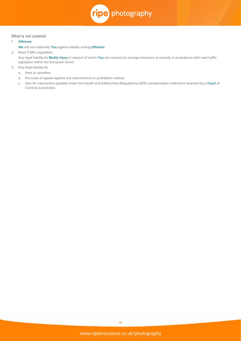

#### What is not covered:

## 1. **Offshore**

**We** will not indemnify **You** against liability arising **Offshore**.

2. Road Traffic Legislation

 Any legal liability for **Bodily Injury** in respect of which **You** are required to arrange insurance or security in accordance with road traffic legislation within the European Union.

- 3. Any legal liability for
	- a. fines or penalties
	- b. the costs of appeal against any improvement or prohibition notices
	- c. fees for intervention payable under the Health and Safety Fees (Regulations) 2012 compensation ordered or awarded by a **Court** of Criminal Jurisdiction.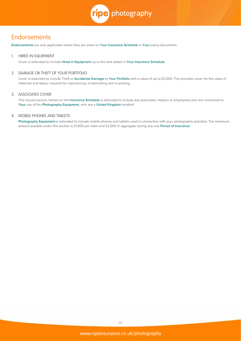

# **Endorsements**

**Endorsements** are only applicable where they are show on **Your Insurance Schedule** in **Your** policy documents

#### 1. HIRED IN EQUIPMENT

Cover is extended to include **Hired in Equipment** up to the limit stated in **Your Insurance Schedule**

# 2. DAMAGE OR THEFT OF YOUR PORTFOLIO

 Cover is extended to include Theft or **Accidental Damage** to **Your Portfolio** with a value of up to £2,000. This provides cover for the value of materials and labour required for reproducing, re-laminating and re-printing

### 3. ASSOCIATES COVER

 The insured person named on the **Insurance Schedule** is extended to include any associates, helpers or employees who are connected to **Your** use of the **Photography Equipment**, who are a **United Kingdom** resident

### 4. MOBILE PHONES AND TABLETS

 **Photography Equipment** is extended to include mobile phones and tablets used in connection with your photography activities. The maximum amount payable under this section is £1,000 per claim and £2,000 in aggregate during any one **Period of Insurance**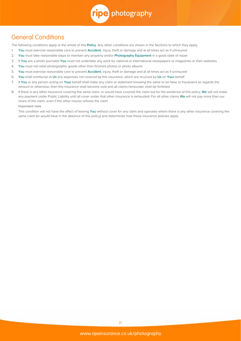

# General Conditions

The following conditions apply to the whole of this **Policy**. Any other conditions are shown in the Sections to which they apply.

- 1. **You** must exercise reasonable care to prevent **Accident**, injury, theft or damage and at all times act as if uninsured.
- 2. **You** must take reasonable steps to maintain any property and/or **Photography Equipment** in a good state of repair
- 3. If **You** are a photo journalist **You** must not undertake any work for national or international newspapers or magazines or their websites
- 4. **You** must not retail photographic goods other than finished photos or photo albums
- 5. **You** must exercise reasonable care to prevent **Accident**, injury, theft or damage and at all times act as if uninsured
- 6. **You** shall reimburse to **Us** any expenses not covered by this insurance, which are incurred by **Us** on **Your** behalf
- 7. If **You** or any person acting on **Your** behalf shall make any claim or statement knowing the same to be false or fraudulent as regards the amount or otherwise, then this insurance shall become void and all claims hereunder shall be forfeited
- 8. If there is any other insurance covering the same claim, or would have covered the claim but for the existence of this policy, **We** will not make any payment under Public Liability until all cover under that other insurance is exhausted. For all other claims **We** will not pay more than our share of the claim, even if the other insurer refuses the claim

**Important note**

 This condition will not have the effect of leaving **You** without cover for any claim and operates where there is any other insurance covering the same claim (or would have in the absence of this policy) and determines how those insurance policies apply.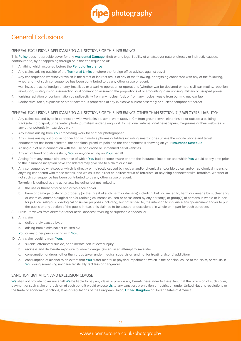ripe photography

# General Exclusions

# GENERAL EXCLUSIONS APPLICABLE TO ALL SECTIONS OF THIS INSURANCE:

This **Policy** does not provide cover for any **Accidental Damage**, theft or any legal liability of whatsoever nature, directly or indirectly caused, contributed to, by or happening through or in the consequence of:

- 1. Anything which occurred before the **Period of Insurance**
- 2. Any claims arising outside of the **Territorial Limits** or where the foreign office advises against travel
- 3. Any consequence whatsoever which is the direct or indirect result of any of the following, or anything connected with any of the following, whether or not such consequence has been contributed to by any other cause or event:

 war, invasion, act of foreign enemy, hostilities or a warlike operation or operations (whether war be declared or not), civil war, mutiny, rebellion, revolution, military rising, insurrection, civil commotion assuming the proportions of or amounting to an uprising, military or usurped power.

- 4. Ionizing radiation or contamination by radioactivity from any nuclear fuel, or from any nuclear waste from burning nuclear fuel
- 5. Radioactive, toxic, explosive or other hazardous properties of any explosive nuclear assembly or nuclear component thereof

#### GENERAL EXCLUSIONS APPLICABLE TO ALL SECTIONS OF THIS INSURANCE OTHER THAN SECTION 7 (EMPLOYERS' LIABILITY):

- 1. Any claims caused by or in connection with work airside, aerial work (above 10m from ground level, either inside or outside a building), trackside motorsport, underwater, photo journalism undertaking work for national, international newspapers, magazines or their websites or any other potentially hazardous work
- 2. Any claims arising from **You** processing work for another photographer
- 3. Any claims arising out of or in connection with mobile phones or tablets including smartphones unless the mobile phone and tablet endorsement has been selected, the additional premium paid and the endorsement is showing on your **Insurance Schedule**
- 4. Arising out of or in connection with the use of a drone or unmanned aerial vehicles
- 5. Any act of fraud or dishonesty by **You** or anyone acting on **Your** behalf
- 6. Arising from any known circumstance of which **You** had become aware prior to the insurance inception and which **You** would at any time prior to the insurance inception have considered may give rise to a claim or claims
- 7. Any consequence whatsoever which is directly or indirectly caused by nuclear and/or chemical and/or biological and/or radiological means, or anything connected with those means, and which is the direct or indirect result of Terrorism, or anything connected with Terrorism, whether or not such consequence has been contributed to by any other cause or event.

Terrorism is defined as any act or acts including, but not limited to:

- a. the use or threat of force and/or violence and/or
- b. harm or damage to life or to property (or the threat of such harm or damage) including, but not limited to, harm or damage by nuclear and/ or chemical and/or biological and/or radiological means caused or occasioned by any person(s) or group(s) of persons in whole or in part for political, religious, ideological or similar purposes including, but not limited to, the intention to influence any government and/or to put the public or any section of the public in fear, or is claimed to be caused or occasioned in whole or in part for such purposes.
- 8. Pressure waves from aircraft or other aerial devices travelling at supersonic speeds; or
- 9. Any claim:
	- a. deliberately caused by; or
	- b. arising from a criminal act caused by;
	- **You** or any other person living with **You**.
- 10. Any claim resulting from **Your**:
	- a. suicide, attempted suicide, or deliberate self-inflected injury
	- b. reckless and deliberate exposure to known danger (except in an attempt to save life),
	- c. consumption of drugs (other than drugs taken under medical supervision and not for treating alcohol addiction)
	- d. consumption of alcohol to an extent that **You** suffer mental or physical impairment, which is the principal cause of the claim, or results in **You** doing something uncharacteristically reckless or dangerous.

## SANCTION LIMITATION AND EXCLUSION CLAUSE

**We** shall not provide cover nor shall **We** be liable to pay any claim or provide any benefit hereunder to the extent that the provision of such cover, payment of such claim or provision of such benefit would expose **Us** to any sanction, prohibition or restriction under United Nations resolutions or the trade or economic sanctions, laws or regulations of the European Union, **United Kingdom** or United States of America.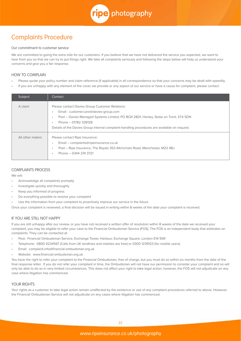

# Complaints Procedure

#### Our commitment to customer service

We are committed to going the extra mile for our customers. If you believe that we have not delivered the service you expected, we want to hear from you so that we can try to put things right. We take all complaints seriously and following the steps below will help us understand your concerns and give you a fair response.

# HOW TO COMPLAIN

- Please quote your policy number and claim reference (if applicable) in all correspondence so that your concerns may be dealt with speedily.
- If you are unhappy with any element of the cover we provide or any aspect of our service or have a cause for complaint, please contact:

| Subject          | Contact                                                                                                                                                                                                                                                                                                       |
|------------------|---------------------------------------------------------------------------------------------------------------------------------------------------------------------------------------------------------------------------------------------------------------------------------------------------------------|
| A claim          | Please contact Davies Group Customer Relations:<br>Email - customer.care@davies-group.com<br>Post – Davies Managed Systems Limited, PO BOX 2801, Hanley, Stoke on Trent, ST4 5DN<br>٠<br>Phone - 01782 339128<br>Details of the Davies Group internal complaint-handling procedures are available on request. |
| All other maters | Please contact Ripe Insurance:<br>Email - complaints@ripeinsurance.co.uk<br>Post – Ripe Insurance, The Royals 353 Altrincham Road, Manchester, M22 4BJ<br>$\bullet$<br>Phone - 0344 274 3721                                                                                                                  |

# COMPLAINTS PROCESS

We will:

- Acknowledge all complaints promptly
- Investigate quickly and thoroughly
- Keep you informed of progress
- Do everything possible to resolve your complaint
- Use the information from your complaint to proactively improve our service in the future.

Once your complaint is reviewed, a final decision will be issued in writing within 8 weeks of the date your complaint is received.

## IF YOU ARE STILL NOT HAPPY

If you are still unhappy after our review, or you have not received a written offer of resolution within 8 weeks of the date we received your complaint, you may be eligible to refer your case to the Financial Ombudsman Service (FOS). The FOS is an independent body that arbitrates on complaints. They can be contacted at:

- Post: Financial Ombudsman Service, Exchange Tower, Harbour, Exchange Square, London E14 9SR
- Telephone: 0800 0234567 (Calls from UK landlines and mobiles are free) or 0300 1239123 (for mobile users)
- Email: complaint.info@financial-ombudsman.org.uk
- Website: www.financial-ombudsman.org.uk

You have the right to refer your complaint to the Financial Ombudsman, free of charge, but you must do so within six months from the date of the final response letter. If you do not refer your compliant in time, the Ombudsman will not have our permission to consider your complaint and so will only be able to do so in very limited circumstances. This does not affect your right to take legal action, however, the FOS will not adjudicate on any case where litigation has commenced.

## YOUR RIGHTS

Your rights as a customer to take legal action remain unaffected by the existence or use of any complaint procedures referred to above. However, the Financial Ombudsman Service will not adjudicate on any cases where litigation has commenced.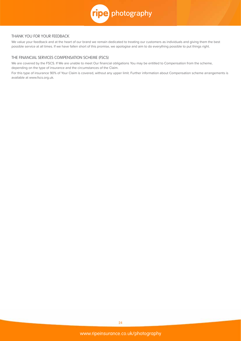

# THANK YOU FOR YOUR FEEDBACK

We value your feedback and at the heart of our brand we remain dedicated to treating our customers as individuals and giving them the best possible service at all times. If we have fallen short of this promise, we apologise and aim to do everything possible to put things right.

# THE FINANCIAL SERVICES COMPENSATION SCHEME (FSCS)

We are covered by the FSCS. If We are unable to meet Our financial obligations You may be entitled to Compensation from the scheme, depending on the type of insurance and the circumstances of the Claim.

For this type of insurance 90% of Your Claim is covered, without any upper limit. Further information about Compensation scheme arrangements is available at www.fscs.org.uk.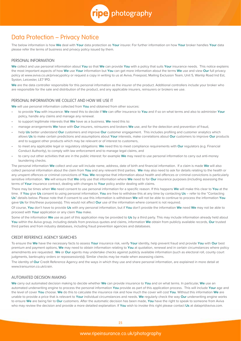

# Data Protection – Privacy Notice

The below information is how **We** deal with **Your** data protection as **Your** insurer. For further information on how **Your** broker handles **Your** data please refer the terms of business and privacy policy issued by them.

#### PERSONAL INFORMATION

**We** collect and use personal information about **You** so that **We** can provide **You** with a policy that suits **Your** insurance needs. This notice explains the most important aspects of how **We** use **Your** information but **You** can get more information about the terms **We** use and view **Our** full privacy policy at www.aviva.co.uk/privacypolicy or request a copy in writing to us at Aviva, Freepost, Mailing Exclusion Team, Unit 5, Wanlip Road Ind Est, Syston, Leicester, LE7 1PD.

**We** are the data controller responsible for this personal information as the insurer of the product. Additional controllers include your broker who are responsible for the sale and distribution of the product, and any applicable insurers, reinsurers or brokers we use.

# PERSONAL INFORMATION WE COLLECT AND HOW WE USE IT

**We** will use personal information collected from **You** and obtained from other sources:

- to provide **You** with insurance: **We** need this to decide if **We** can offer insurance to **You** and if so on what terms and also to administer **Your** policy, handle any claims and manage any renewal.
- to support legitimate interests that **We** have as a business. **We** need this to:
- manage arrangements **We** have with **Our** insurers, reinsurers and brokers **We** use, and for the detection and prevention of fraud,
- help **Us** better understand **Our** customers and improve **Our** customer engagement. This includes profiling and customer analytics which allows **Us** to make certain predictions and assumptions about **Your** interests, make correlations about **Our** customers to improve **Our** products and to suggest other products which may be relevant or of interest to customers.
- to meet any applicable legal or regulatory obligations: **We** need this to meet compliance requirements with **Our** regulators (e.g. Financial Conduct Authority), to comply with law enforcement and to manage legal claims, and
- to carry out other activities that are in the public interest: for example **We** may need to use personal information to carry out anti-money laundering checks.

The personal information **We** collect and use will include name, address, date of birth and financial information. If a claim is made **We** will also collect personal information about the claim from **You** and any relevant third parties. **We** may also need to ask for details relating to the health or any unspent offences or criminal convictions of **You**. **We** recognise that information about health and offences or criminal convictions is particularly sensitive information. **We** will ensure that **We** only use that information where **We** need to for **Our** insurance purposes (including assessing the terms of **Your** insurance contract, dealing with changes to **Your** policy and/or dealing with claims.

There may be times when **We** need consent to use personal information for a specific reason. If this happens **We** will make this clear to **You** at the time. If **You** give **Us** consent to using personal information, **You** are free to withdraw this at any time by contacting **Us** – refer to the "Contacting **Us**" details below. Please note that if consent to use this information is withdrawn **We** will not be able to continue to process the information **You** gave **Us** for this/these purposes(s). This would not affect **Our** use of the information where consent is not required.

Of course, **You** don't have to provide **Us** with any personal information, but if **You** don't provide the information **We** need **We** may not be able to proceed with **Your** application or any claim **You** make.

Some of the information **We** use as part of this application may be provided to **Us** by a third party. This may include information already held about **You** within the Aviva group, including details from previous quotes and claims, information **We** obtain from publicly available records, **Our** trusted third parties and from industry databases, including fraud prevention agencies and databases.

#### CREDIT REFERENCE AGENCY SEARCHES

To ensure the **We** have the necessary facts to assess **Your** insurance risk, verify **Your** identity, help prevent fraud and provide **You** with **Our** best premium and payment options, **We** may need to obtain information relating to **You** at quotation, renewal and in certain circumstances where policy amendments are requested. **We** or **Our** agents may undertake checks against publicly available information (such as electoral roll, county court judgments, bankruptcy orders or repossession(s)). Similar checks may be made when assessing claims.

The identity of **Our** Credit Reference Agency and the ways in which they use and share personal information, are explained in more detail at www.transunion.co.uk/crain.

# AUTOMATED DECISION MAKING

**We** carry out automated decision making to decide whether **We** can provide insurance to **You** and on what terms. In particular, **We** use an automated underwriting engine to process the personal information **You** provide as part of this application process. This will include **Your** age and the level of cover **You** choose. **We** do this to calculate the insurance risk and how much the cover will cost **You**. Without this information **We** are unable to provide a price that is relevant to **Your** individual circumstances and needs. **We** regularly check the way **Our** underwriting engine works to ensure **We** are being fair to **Our** customers. After the automatic decision has been made, **You** have the right to speak to someone from Aviva who may review the decision and provide a more detailed explanation. If **You** wish to invoke this right please contact **Us** at dataprt@aviva.com.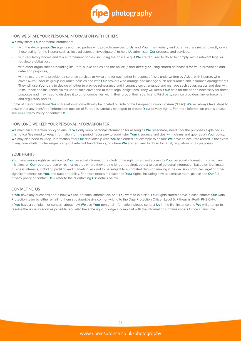

# HOW WE SHARE YOUR PERSONAL INFORMATION WITH OTHERS

**We** may share **Your** personal information:

- with the Aviva group, **Our** agents and third parties who provide services to **Us**, and **Your** intermediary and other insurers (either directly or via those acting for the insurer such as loss adjusters or investigators) to help **Us** administer **Our** products and services,
- with regulatory bodies and law enforcement bodies, including the police, e.g. if **We** are required to do so to comply with a relevant legal or regulatory obligation,
- with other organisations including insurers, public bodies and the police (either directly or using shared databases) for fraud prevention and detection purposes,
- with reinsurers who provide reinsurance services to Aviva and for each other in respect of risks underwritten by Aviva, with insurers who cover Aviva under its group insurance policies and with **Our** brokers who arrange and manage such reinsurance and insurance arrangements. They will use **Your** data to decide whether to provide reinsurance and insurance cover, arrange and manage such cover, assess and deal with reinsurance and insurance claims under such cover and to meet legal obligations. They will keep **Your** data for the period necessary for these purposes and may need to disclose it to other companies within their group, their agents and third party service providers, law enforcement and regulatory bodies.

Some of the organisations **We** share information with may be located outside of the European Economic Area ("EEA"). **We** will always take steps to ensure that any transfer of information outside of Europe is carefully managed to protect **Your** privacy rights. For more information on this please see **Our** Privacy Policy or contact **Us**.

#### HOW LONG WE KEEP YOUR PERSONAL INFORMATION FOR

**We** maintain a retention policy to ensure **We** only keep personal information for as long as **We** reasonably need it for the purposes explained in this notice. **We** need to keep information for the period necessary to administer **Your** insurance and deal with claims and queries on **Your** policy. **We** may also need to keep information after **Our** relationship with **You** has ended, for example to ensure **We** have an accurate record in the event of any complaints or challenges, carry out relevant fraud checks, or where **We** are required to do so for legal, regulatory or tax purposes.

### YOUR RIGHTS

**You** have various rights in relation to **Your** personal information, including the right to request access to **Your** personal information, correct any mistakes on **Our** records, erase or restrict records where they are no longer required, object to use of personal information based on legitimate business interests, including profiling and marketing, ask not to be subject to automated decision making if the decision produces legal or other significant effects on **You**, and data portability. For more details in relation to **Your** rights, including how to exercise them, please see **Our** full privacy policy or contact **Us** – refer to the "Contacting **Us**" details below.

## CONTACTING US

If **You** have any questions about how **We** use personal information, or if **You** want to exercise **Your** rights stated above, please contact **Our** Data Protection team by either emailing them at dataprt@aviva.com or writing to the Data Protection Officer, Level 5, Pitheavlis, Perth PH2 0NH. If **You** have a complaint or concern about how **We** use **Your** personal information, please contact **Us** in the first instance and **We** will attempt to resolve the issue as soon as possible. **You** also have the right to lodge a complaint with the Information Commissioners Office at any time.